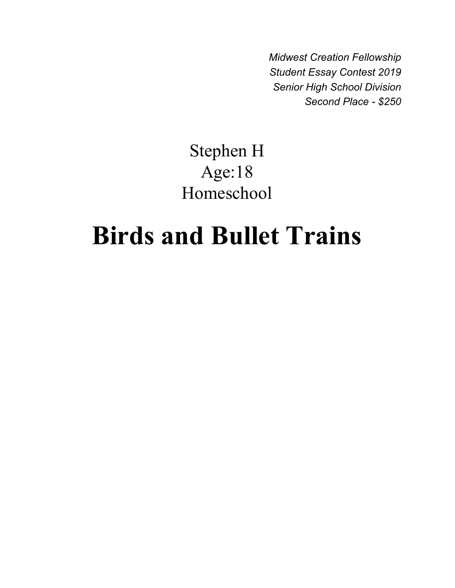*Midwest Creation Fellowship Student Essay Contest 2019 Senior High School Division Second Place - \$250*

## Stephen H Age:18 Homeschool

## **Birds and Bullet Trains**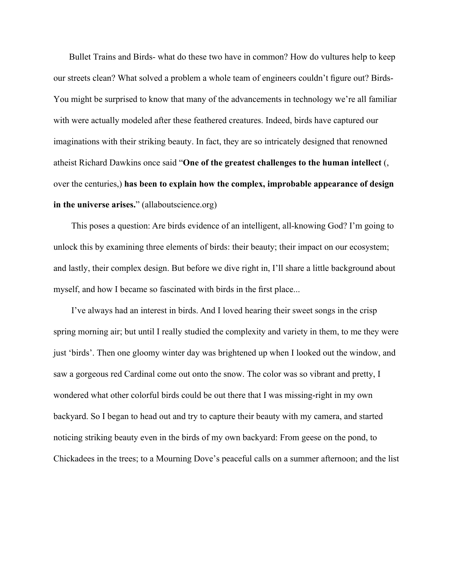Bullet Trains and Birds- what do these two have in common? How do vultures help to keep our streets clean? What solved a problem a whole team of engineers couldn't figure out? Birds-You might be surprised to know that many of the advancements in technology we're all familiar with were actually modeled after these feathered creatures. Indeed, birds have captured our imaginations with their striking beauty. In fact, they are so intricately designed that renowned atheist Richard Dawkins once said "**One of the greatest challenges to the human intellect** (, over the centuries,) **has been to explain how the complex, improbable appearance of design in the universe arises.**" (allaboutscience.org)

This poses a question: Are birds evidence of an intelligent, all-knowing God? I'm going to unlock this by examining three elements of birds: their beauty; their impact on our ecosystem; and lastly, their complex design. But before we dive right in, I'll share a little background about myself, and how I became so fascinated with birds in the first place...

I've always had an interest in birds. And I loved hearing their sweet songs in the crisp spring morning air; but until I really studied the complexity and variety in them, to me they were just 'birds'. Then one gloomy winter day was brightened up when I looked out the window, and saw a gorgeous red Cardinal come out onto the snow. The color was so vibrant and pretty, I wondered what other colorful birds could be out there that I was missing-right in my own backyard. So I began to head out and try to capture their beauty with my camera, and started noticing striking beauty even in the birds of my own backyard: From geese on the pond, to Chickadees in the trees; to a Mourning Dove's peaceful calls on a summer afternoon; and the list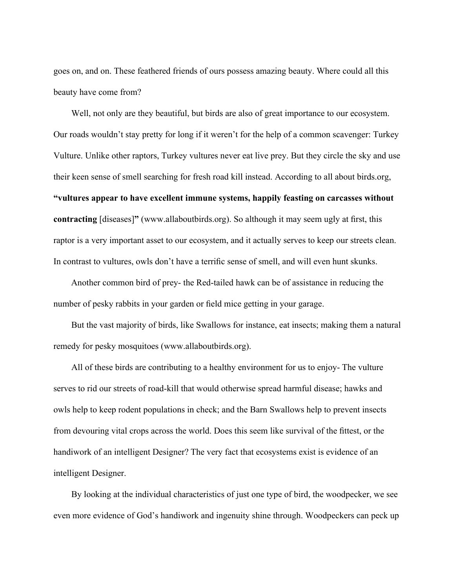goes on, and on. These feathered friends of ours possess amazing beauty. Where could all this beauty have come from?

Well, not only are they beautiful, but birds are also of great importance to our ecosystem. Our roads wouldn't stay pretty for long if it weren't for the help of a common scavenger: Turkey Vulture. Unlike other raptors, Turkey vultures never eat live prey. But they circle the sky and use their keen sense of smell searching for fresh road kill instead. According to all about birds.org, **"vultures appear to have excellent immune systems, happily feasting on carcasses without contracting** [diseases]**"** (www.allaboutbirds.org). So although it may seem ugly at first, this raptor is a very important asset to our ecosystem, and it actually serves to keep our streets clean. In contrast to vultures, owls don't have a terrific sense of smell, and will even hunt skunks.

Another common bird of prey- the Red-tailed hawk can be of assistance in reducing the number of pesky rabbits in your garden or field mice getting in your garage.

But the vast majority of birds, like Swallows for instance, eat insects; making them a natural remedy for pesky mosquitoes (www.allaboutbirds.org).

All of these birds are contributing to a healthy environment for us to enjoy- The vulture serves to rid our streets of road-kill that would otherwise spread harmful disease; hawks and owls help to keep rodent populations in check; and the Barn Swallows help to prevent insects from devouring vital crops across the world. Does this seem like survival of the fittest, or the handiwork of an intelligent Designer? The very fact that ecosystems exist is evidence of an intelligent Designer.

By looking at the individual characteristics of just one type of bird, the woodpecker, we see even more evidence of God's handiwork and ingenuity shine through. Woodpeckers can peck up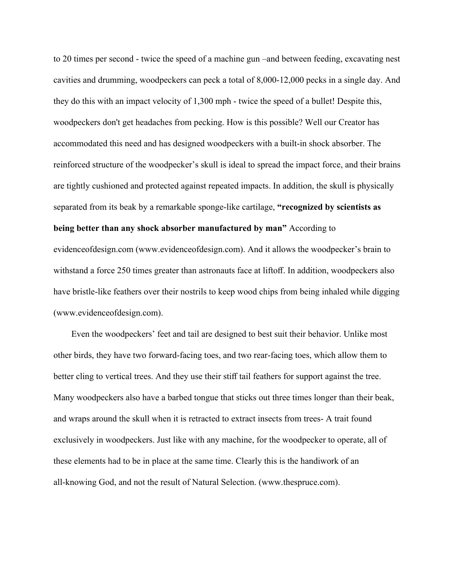to 20 times per second - twice the speed of a machine gun –and between feeding, excavating nest cavities and drumming, woodpeckers can peck a total of 8,000-12,000 pecks in a single day. And they do this with an impact velocity of 1,300 mph - twice the speed of a bullet! Despite this, woodpeckers don't get headaches from pecking. How is this possible? Well our Creator has accommodated this need and has designed woodpeckers with a built-in shock absorber. The reinforced structure of the woodpecker's skull is ideal to spread the impact force, and their brains are tightly cushioned and protected against repeated impacts. In addition, the skull is physically separated from its beak by a remarkable sponge-like cartilage, **"recognized by scientists as being better than any shock absorber manufactured by man"** According to evidenceofdesign.com (www.evidenceofdesign.com). And it allows the woodpecker's brain to

withstand a force 250 times greater than astronauts face at liftoff. In addition, woodpeckers also have bristle-like feathers over their nostrils to keep wood chips from being inhaled while digging (www.evidenceofdesign.com).

Even the woodpeckers' feet and tail are designed to best suit their behavior. Unlike most other birds, they have two forward-facing toes, and two rear-facing toes, which allow them to better cling to vertical trees. And they use their stiff tail feathers for support against the tree. Many woodpeckers also have a barbed tongue that sticks out three times longer than their beak, and wraps around the skull when it is retracted to extract insects from trees- A trait found exclusively in woodpeckers. Just like with any machine, for the woodpecker to operate, all of these elements had to be in place at the same time. Clearly this is the handiwork of an all-knowing God, and not the result of Natural Selection. (www.thespruce.com).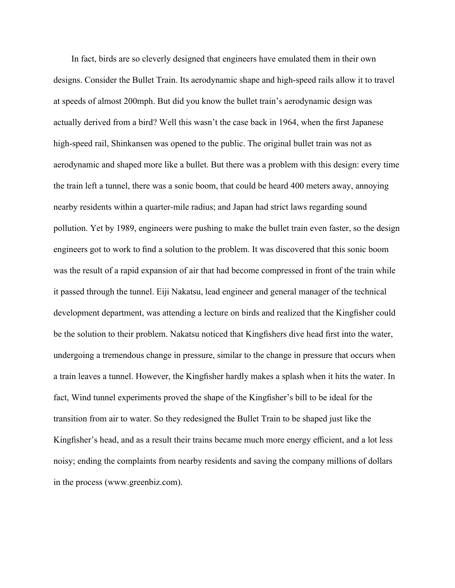In fact, birds are so cleverly designed that engineers have emulated them in their own designs. Consider the Bullet Train. Its aerodynamic shape and high-speed rails allow it to travel at speeds of almost 200mph. But did you know the bullet train's aerodynamic design was actually derived from a bird? Well this wasn't the case back in 1964, when the first Japanese high-speed rail, Shinkansen was opened to the public. The original bullet train was not as aerodynamic and shaped more like a bullet. But there was a problem with this design: every time the train left a tunnel, there was a sonic boom, that could be heard 400 meters away, annoying nearby residents within a quarter-mile radius; and Japan had strict laws regarding sound pollution. Yet by 1989, engineers were pushing to make the bullet train even faster, so the design engineers got to work to find a solution to the problem. It was discovered that this sonic boom was the result of a rapid expansion of air that had become compressed in front of the train while it passed through the tunnel. Eiji Nakatsu, lead engineer and general manager of the technical development department, was attending a lecture on birds and realized that the Kingfisher could be the solution to their problem. Nakatsu noticed that Kingfishers dive head first into the water, undergoing a tremendous change in pressure, similar to the change in pressure that occurs when a train leaves a tunnel. However, the Kingfisher hardly makes a splash when it hits the water. In fact, Wind tunnel experiments proved the shape of the Kingfisher's bill to be ideal for the transition from air to water. So they redesigned the Bullet Train to be shaped just like the Kingfisher's head, and as a result their trains became much more energy efficient, and a lot less noisy; ending the complaints from nearby residents and saving the company millions of dollars in the process (www.greenbiz.com).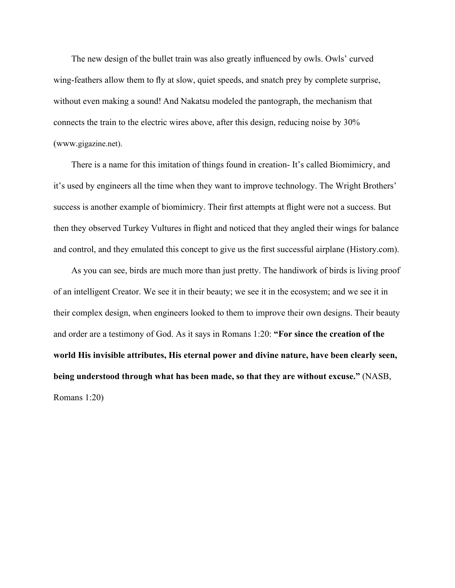The new design of the bullet train was also greatly influenced by owls. Owls' curved wing-feathers allow them to fly at slow, quiet speeds, and snatch prey by complete surprise, without even making a sound! And Nakatsu modeled the pantograph, the mechanism that connects the train to the electric wires above, after this design, reducing noise by 30% (www.gigazine.net).

There is a name for this imitation of things found in creation- It's called Biomimicry, and it's used by engineers all the time when they want to improve technology. The Wright Brothers' success is another example of biomimicry. Their first attempts at flight were not a success. But then they observed Turkey Vultures in flight and noticed that they angled their wings for balance and control, and they emulated this concept to give us the first successful airplane (History.com).

As you can see, birds are much more than just pretty. The handiwork of birds is living proof of an intelligent Creator. We see it in their beauty; we see it in the ecosystem; and we see it in their complex design, when engineers looked to them to improve their own designs. Their beauty and order are a testimony of God. As it says in Romans 1:20: **"For since the creation of the world His invisible attributes, His eternal power and divine nature, have been clearly seen, being understood through what has been made, so that they are without excuse."** (NASB, Romans 1:20)